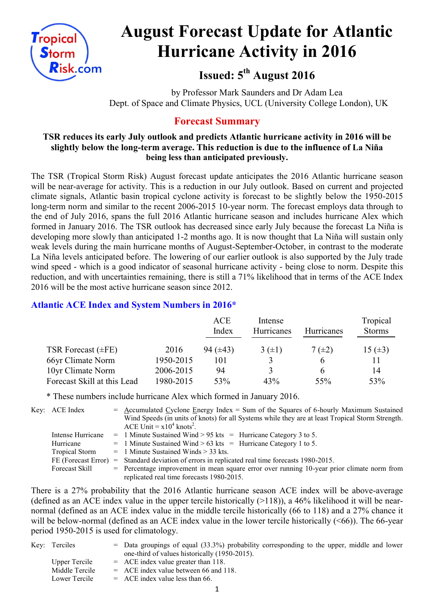

# **August Forecast Update for Atlantic Hurricane Activity in 2016**

**Issued: 5 th August 2016**

by Professor Mark Saunders and Dr Adam Lea Dept. of Space and Climate Physics, UCL (University College London), UK

# **Forecast Summary**

## **TSR reduces its early July outlook and predicts Atlantic hurricane activity in 2016 will be slightly below the long-term average. This reduction is due to the influence of La Niña being less than anticipated previously.**

The TSR (Tropical Storm Risk) August forecast update anticipates the 2016 Atlantic hurricane season will be near-average for activity. This is a reduction in our July outlook. Based on current and projected climate signals, Atlantic basin tropical cyclone activity is forecast to be slightly below the 1950-2015 long-term norm and similar to the recent 2006-2015 10-year norm. The forecast employs data through to the end of July 2016, spans the full 2016 Atlantic hurricane season and includes hurricane Alex which formed in January 2016. The TSR outlook has decreased since early July because the forecast La Niña is developing more slowly than anticipated 1-2 months ago. It is now thought that La Niña will sustain only weak levels during the main hurricane months of August-September-October, in contrast to the moderate La Niña levels anticipated before. The lowering of our earlier outlook is also supported by the July trade wind speed - which is a good indicator of seasonal hurricane activity - being close to norm. Despite this reduction, and with uncertainties remaining, there is still a 71% likelihood that in terms of the ACE Index 2016 will be the most active hurricane season since 2012.

## **Atlantic ACE Index and System Numbers in 2016\***

|                             |           | <b>ACE</b><br>Index | Intense<br>Hurricanes | Hurricanes   | Tropical<br><b>Storms</b> |
|-----------------------------|-----------|---------------------|-----------------------|--------------|---------------------------|
| TSR Forecast $(\pm FE)$     | 2016      | 94 $(\pm 43)$       | 3(±1)                 | $7(\pm 2)$   | 15 $(\pm 3)$              |
| 66yr Climate Norm           | 1950-2015 | 101                 | 3                     | <sub>6</sub> | 11                        |
| 10yr Climate Norm           | 2006-2015 | 94                  | 3                     |              | 14                        |
| Forecast Skill at this Lead | 1980-2015 | 53%                 | 43%                   | 55%          | 53%                       |

\* These numbers include hurricane Alex which formed in January 2016.

Key: ACE Index  $=$  Accumulated Cyclone Energy Index  $=$  Sum of the Squares of 6-hourly Maximum Sustained Wind Speeds (in units of knots) for all Systems while they are at least Tropical Storm Strength.

|                       | ACE Unit = $x10^4$ knots <sup>2</sup> .                                                         |
|-----------------------|-------------------------------------------------------------------------------------------------|
| Intense Hurricane     | $=$ 1 Minute Sustained Wind > 95 kts = Hurricane Category 3 to 5.                               |
| Hurricane             | $=$ 1 Minute Sustained Wind > 63 kts = Hurricane Category 1 to 5.                               |
| <b>Tropical Storm</b> | $=$ 1 Minute Sustained Winds $>$ 33 kts.                                                        |
|                       | FE (Forecast Error) = Standard deviation of errors in replicated real time forecasts 1980-2015. |
| Forecast Skill        | $=$ Percentage improvement in mean square error over running 10-year prior climate norm from    |
|                       | replicated real time forecasts 1980-2015.                                                       |

There is a 27% probability that the 2016 Atlantic hurricane season ACE index will be above-average (defined as an ACE index value in the upper tercile historically  $(>118)$ ), a 46% likelihood it will be nearnormal (defined as an ACE index value in the middle tercile historically (66 to 118) and a 27% chance it will be below-normal (defined as an ACE index value in the lower tercile historically  $( $66$ )). The 66-year$ period 1950-2015 is used for climatology.

| Key: Terciles  | $=$ Data groupings of equal (33.3%) probability corresponding to the upper, middle and lower |
|----------------|----------------------------------------------------------------------------------------------|
|                | one-third of values historically (1950-2015).                                                |
| Upper Tercile  | $=$ ACE index value greater than 118.                                                        |
| Middle Tercile | $=$ ACE index value between 66 and 118.                                                      |
| Lower Tercile  | $=$ ACE index value less than 66.                                                            |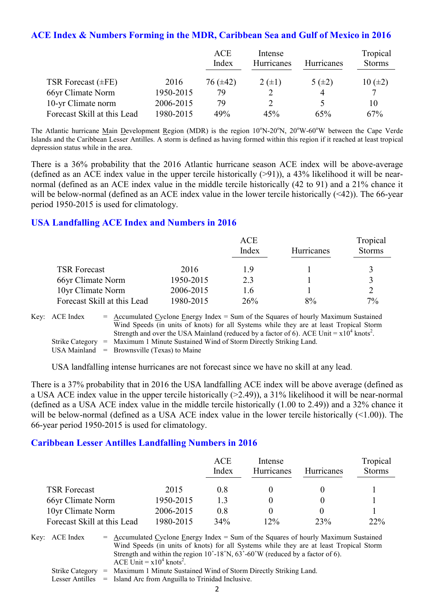## **ACE Index & Numbers Forming in the MDR, Caribbean Sea and Gulf of Mexico in 2016**

|                             |           | <b>ACE</b><br>Index | Intense<br>Hurricanes | <b>Hurricanes</b> | Tropical<br><b>Storms</b> |
|-----------------------------|-----------|---------------------|-----------------------|-------------------|---------------------------|
| TSR Forecast $(\pm FE)$     | 2016      | 76 (±42)            | $2 (+1)$              | 5 $(\pm 2)$       | $10 (\pm 2)$              |
| 66yr Climate Norm           | 1950-2015 | 79                  |                       |                   | 7                         |
| 10-yr Climate norm          | 2006-2015 | 79                  |                       |                   | 10                        |
| Forecast Skill at this Lead | 1980-2015 | 49%                 | 45%                   | 65%               | 67%                       |

The Atlantic hurricane Main Development Region (MDR) is the region  $10^{\circ}$ N-20<sup>o</sup>N,  $20^{\circ}$ W-60<sup>o</sup>W between the Cape Verde Islands and the Caribbean Lesser Antilles. A storm is defined as having formed within this region if it reached at least tropical depression status while in the area.

There is a 36% probability that the 2016 Atlantic hurricane season ACE index will be above-average (defined as an ACE index value in the upper tercile historically  $(>91)$ ), a 43% likelihood it will be nearnormal (defined as an ACE index value in the middle tercile historically (42 to 91) and a 21% chance it will be below-normal (defined as an ACE index value in the lower tercile historically  $(\leq 42)$ ). The 66-year period 1950-2015 is used for climatology.

## **USA Landfalling ACE Index and Numbers in 2016**

|                             |           | <b>ACE</b><br>Index | Hurricanes | Tropical<br><b>Storms</b> |
|-----------------------------|-----------|---------------------|------------|---------------------------|
| <b>TSR Forecast</b>         | 2016      | 19                  |            |                           |
| 66yr Climate Norm           | 1950-2015 | 23                  |            | ζ                         |
| 10yr Climate Norm           | 2006-2015 | 16                  |            |                           |
| Forecast Skill at this Lead | 1980-2015 | 26%                 | 8%         | $7\%$                     |

| Key: ACE Index | $=$ Accumulated Cyclone Energy Index $=$ Sum of the Squares of hourly Maximum Sustained                |
|----------------|--------------------------------------------------------------------------------------------------------|
|                | Wind Speeds (in units of knots) for all Systems while they are at least Tropical Storm                 |
|                | Strength and over the USA Mainland (reduced by a factor of 6). ACE Unit $= x10^4$ knots <sup>2</sup> . |
|                | Strike Category = Maximum 1 Minute Sustained Wind of Storm Directly Striking Land.                     |

USA Mainland  $=$  Brownsville (Texas) to Maine

USA landfalling intense hurricanes are not forecast since we have no skill at any lead.

There is a 37% probability that in 2016 the USA landfalling ACE index will be above average (defined as a USA ACE index value in the upper tercile historically (>2.49)), a 31% likelihood it will be near-normal (defined as a USA ACE index value in the middle tercile historically (1.00 to 2.49)) and a 32% chance it will be below-normal (defined as a USA ACE index value in the lower tercile historically (<1.00)). The 66-year period 1950-2015 is used for climatology.

## **Caribbean Lesser Antilles Landfalling Numbers in 2016**

|                             |           | ACE<br>Index | Intense<br><b>Hurricanes</b> | <b>Hurricanes</b> | Tropical<br><b>Storms</b> |
|-----------------------------|-----------|--------------|------------------------------|-------------------|---------------------------|
| <b>TSR Forecast</b>         | 2015      | 08           |                              |                   |                           |
| 66yr Climate Norm           | 1950-2015 | 13           |                              |                   |                           |
| 10yr Climate Norm           | 2006-2015 | 0.8          |                              |                   |                           |
| Forecast Skill at this Lead | 1980-2015 | 34%          | 12%                          | 23%               | $22\%$                    |

Key:  $ACE Index = Accumulated Cyclone Energy Index = Sum of the Squares of hourly Maximum Sustainable$ Wind Speeds (in units of knots) for all Systems while they are at least Tropical Storm Strength and within the region 10˚-18˚N, 63˚-60˚W (reduced by a factor of 6). ACE Unit =  $x10^4$  knots<sup>2</sup>.

Strike Category = Maximum 1 Minute Sustained Wind of Storm Directly Striking Land.

Lesser Antilles = Island Arc from Anguilla to Trinidad Inclusive.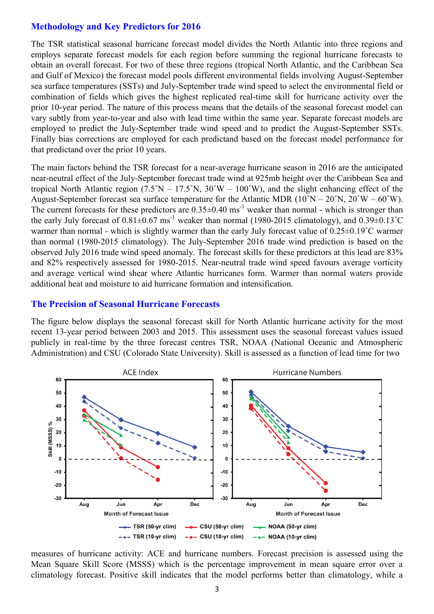## **Methodology and Key Predictors for 2016**

The TSR statistical seasonal hurricane forecast model divides the North Atlantic into three regions and employs separate forecast models for each region before summing the regional hurricane forecasts to obtain an overall forecast. For two of these three regions (tropical North Atlantic, and the Caribbean Sea and Gulf of Mexico) the forecast model pools different environmental fields involving August-September sea surface temperatures (SSTs) and July-September trade wind speed to select the environmental field or combination of fields which gives the highest replicated real-time skill for hurricane activity over the prior 10-year period. The nature of this process means that the details of the seasonal forecast model can vary subtly from year-to-year and also with lead time within the same year. Separate forecast models are employed to predict the July-September trade wind speed and to predict the August-September SSTs. Finally bias corrections are employed for each predictand based on the forecast model performance for that predictand over the prior 10 years.

The main factors behind the TSR forecast for a near-average hurricane season in 2016 are the anticipated near-neutral effect of the July-September forecast trade wind at 925mb height over the Caribbean Sea and tropical North Atlantic region  $(7.5°N - 17.5°N, 30°W - 100°W)$ , and the slight enhancing effect of the August-September forecast sea surface temperature for the Atlantic MDR  $(10°N - 20°N, 20°W - 60°W)$ . The current forecasts for these predictors are  $0.35\pm0.40$  ms<sup>-1</sup> weaker than normal - which is stronger than the early July forecast of  $0.81\pm0.67$  ms<sup>-1</sup> weaker than normal (1980-2015 climatology), and  $0.39\pm0.13^{\circ}$ C warmer than normal - which is slightly warmer than the early July forecast value of  $0.25\pm0.19^{\circ}$ C warmer than normal (1980-2015 climatology). The July-September 2016 trade wind prediction is based on the observed July 2016 trade wind speed anomaly. The forecast skills for these predictors at this lead are 83% and 82% respectively assessed for 1980-2015. Near-neutral trade wind speed favours average vorticity and average vertical wind shear where Atlantic hurricanes form. Warmer than normal waters provide additional heat and moisture to aid hurricane formation and intensification.

#### **The Precision of Seasonal Hurricane Forecasts**

The figure below displays the seasonal forecast skill for North Atlantic hurricane activity for the most recent 13-year period between 2003 and 2015. This assessment uses the seasonal forecast values issued publicly in real-time by the three forecast centres TSR, NOAA (National Oceanic and Atmospheric Administration) and CSU (Colorado State University). Skill is assessed as a function of lead time for two



measures of hurricane activity: ACE and hurricane numbers. Forecast precision is assessed using the Mean Square Skill Score (MSSS) which is the percentage improvement in mean square error over a climatology forecast. Positive skill indicates that the model performs better than climatology, while a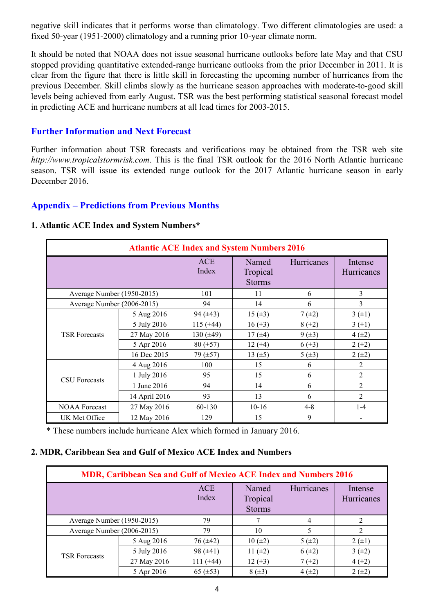negative skill indicates that it performs worse than climatology. Two different climatologies are used: a fixed 50-year (1951-2000) climatology and a running prior 10-year climate norm.

It should be noted that NOAA does not issue seasonal hurricane outlooks before late May and that CSU stopped providing quantitative extended-range hurricane outlooks from the prior December in 2011. It is clear from the figure that there is little skill in forecasting the upcoming number of hurricanes from the previous December. Skill climbs slowly as the hurricane season approaches with moderate-to-good skill levels being achieved from early August. TSR was the best performing statistical seasonal forecast model in predicting ACE and hurricane numbers at all lead times for 2003-2015.

## **Further Information and Next Forecast**

Further information about TSR forecasts and verifications may be obtained from the TSR web site *http://www.tropicalstormrisk.com*. This is the final TSR outlook for the 2016 North Atlantic hurricane season. TSR will issue its extended range outlook for the 2017 Atlantic hurricane season in early December 2016.

## **Appendix – Predictions from Previous Months**

| <b>Atlantic ACE Index and System Numbers 2016</b> |               |                |                                    |            |                       |  |  |
|---------------------------------------------------|---------------|----------------|------------------------------------|------------|-----------------------|--|--|
|                                                   |               | ACE<br>Index   | Named<br>Tropical<br><b>Storms</b> | Hurricanes | Intense<br>Hurricanes |  |  |
| Average Number (1950-2015)                        |               | 101            | 11                                 | 6          | $\overline{3}$        |  |  |
| Average Number (2006-2015)                        |               | 94             | 14                                 | 6          | 3                     |  |  |
|                                                   | 5 Aug 2016    | 94 $(\pm 43)$  | 15 $(\pm 3)$                       | $7(\pm 2)$ | 3(±1)                 |  |  |
|                                                   | 5 July 2016   | 115 $(\pm 44)$ | $16 (\pm 3)$                       | $8 (+2)$   | 3(±1)                 |  |  |
| <b>TSR Forecasts</b>                              | 27 May 2016   | 130 $(\pm 49)$ | 17 $(\pm 4)$                       | $9 (+3)$   | $4(\pm 2)$            |  |  |
|                                                   | 5 Apr 2016    | $80 (\pm 57)$  | 12 $(±4)$                          | $6(\pm 3)$ | $2 (+2)$              |  |  |
|                                                   | 16 Dec 2015   | 79 $(\pm 57)$  | 13 $(\pm 5)$                       | 5(.43)     | $2 (+2)$              |  |  |
|                                                   | 4 Aug 2016    | 100            | 15                                 | 6          | 2                     |  |  |
| <b>CSU</b> Forecasts                              | 1 July 2016   | 95             | 15                                 | 6          | $\overline{2}$        |  |  |
|                                                   | 1 June 2016   | 94             | 14                                 | 6          | $\overline{2}$        |  |  |
|                                                   | 14 April 2016 | 93             | 13                                 | 6          | $\mathfrak{D}$        |  |  |
| <b>NOAA Forecast</b>                              | 27 May 2016   | 60-130         | $10-16$                            | $4 - 8$    | $1 - 4$               |  |  |
| UK Met Office                                     | 12 May 2016   | 129            | 15                                 | 9          |                       |  |  |

#### **1. Atlantic ACE Index and System Numbers\***

\* These numbers include hurricane Alex which formed in January 2016.

#### **2. MDR, Caribbean Sea and Gulf of Mexico ACE Index and Numbers**

| <b>MDR, Caribbean Sea and Gulf of Mexico ACE Index and Numbers 2016</b> |             |                |                                    |            |                       |  |  |
|-------------------------------------------------------------------------|-------------|----------------|------------------------------------|------------|-----------------------|--|--|
|                                                                         |             | ACE<br>Index   | Named<br>Tropical<br><b>Storms</b> | Hurricanes | Intense<br>Hurricanes |  |  |
| Average Number (1950-2015)                                              |             | 79             |                                    | 4          |                       |  |  |
| Average Number (2006-2015)                                              |             | 79             | 10                                 |            |                       |  |  |
| <b>TSR Forecasts</b>                                                    | 5 Aug 2016  | $76 (\pm 42)$  | $10 (\pm 2)$                       | 5(±2)      | $2 (+1)$              |  |  |
|                                                                         | 5 July 2016 | 98 $(\pm 41)$  | 11 $(\pm 2)$                       | $6(\pm 2)$ | $3(+2)$               |  |  |
|                                                                         | 27 May 2016 | 111 $(\pm 44)$ | $12 (+3)$                          | $7(\pm 2)$ | $4(\pm 2)$            |  |  |
|                                                                         | 5 Apr 2016  | 65 $(\pm 53)$  | $8(\pm 3)$                         | $4(\pm 2)$ | $2 (+2)$              |  |  |